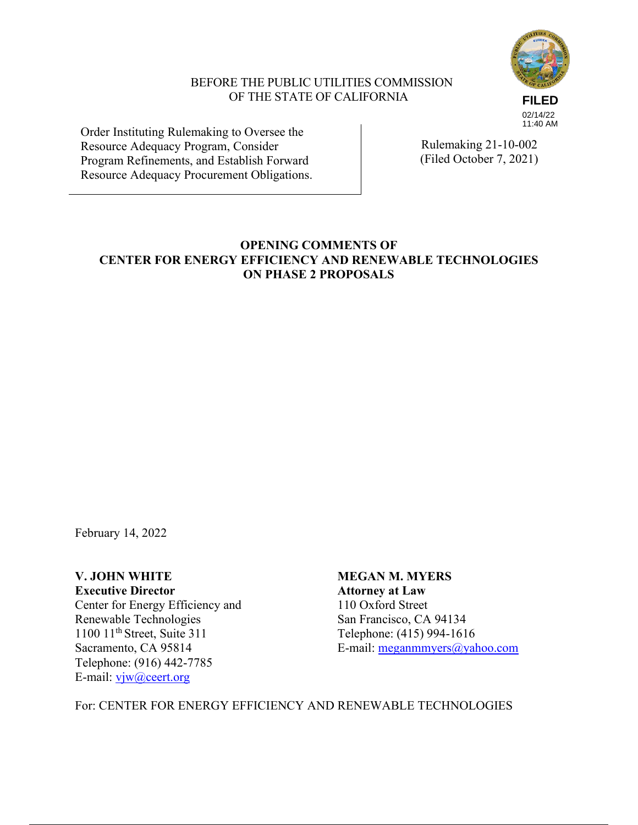

## BEFORE THE PUBLIC UTILITIES COMMISSION OF THE STATE OF CALIFORNIA

02/14/22 11:40 AM

Order Instituting Rulemaking to Oversee the Resource Adequacy Program, Consider Program Refinements, and Establish Forward Resource Adequacy Procurement Obligations.

Rulemaking 21-10-002 (Filed October 7, 2021)

## **OPENING COMMENTS OF CENTER FOR ENERGY EFFICIENCY AND RENEWABLE TECHNOLOGIES ON PHASE 2 PROPOSALS**

February 14, 2022

**Executive Director Attorney at Law** Center for Energy Efficiency and 110 Oxford Street Renewable Technologies<br>
1100 11<sup>th</sup> Street, Suite 311<br>
Telephone: (415) 994-161 1100 11<sup>th</sup> Street, Suite 311 Telephone: (415) 994-1616<br>Sacramento, CA 95814 E-mail: meganmmyers@yal Telephone: (916) 442-7785 E-mail: vjw@ceert.org

**V. JOHN WHITE MEGAN M. MYERS** E-mail:  $\text{meganmmyers}(a)$ yahoo.com

For: CENTER FOR ENERGY EFFICIENCY AND RENEWABLE TECHNOLOGIES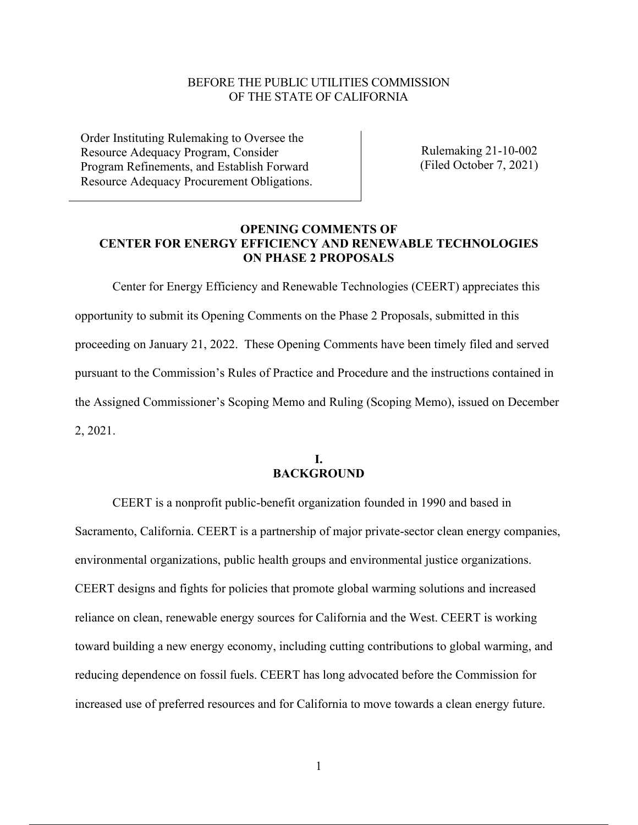### BEFORE THE PUBLIC UTILITIES COMMISSION OF THE STATE OF CALIFORNIA

Order Instituting Rulemaking to Oversee the Resource Adequacy Program, Consider Program Refinements, and Establish Forward Resource Adequacy Procurement Obligations.

Rulemaking 21-10-002 (Filed October 7, 2021)

## **OPENING COMMENTS OF CENTER FOR ENERGY EFFICIENCY AND RENEWABLE TECHNOLOGIES ON PHASE 2 PROPOSALS**

Center for Energy Efficiency and Renewable Technologies (CEERT) appreciates this opportunity to submit its Opening Comments on the Phase 2 Proposals, submitted in this proceeding on January 21, 2022. These Opening Comments have been timely filed and served pursuant to the Commission's Rules of Practice and Procedure and the instructions contained in the Assigned Commissioner's Scoping Memo and Ruling (Scoping Memo), issued on December 2, 2021.

#### **I. BACKGROUND**

CEERT is a nonprofit public-benefit organization founded in 1990 and based in Sacramento, California. CEERT is a partnership of major private-sector clean energy companies, environmental organizations, public health groups and environmental justice organizations. CEERT designs and fights for policies that promote global warming solutions and increased reliance on clean, renewable energy sources for California and the West. CEERT is working toward building a new energy economy, including cutting contributions to global warming, and reducing dependence on fossil fuels. CEERT has long advocated before the Commission for increased use of preferred resources and for California to move towards a clean energy future.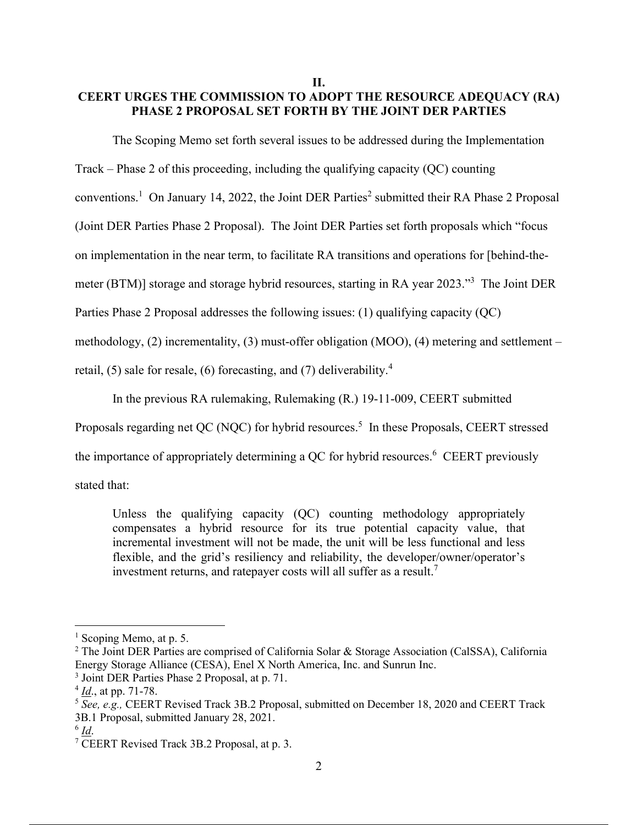## **II. CEERT URGES THE COMMISSION TO ADOPT THE RESOURCE ADEQUACY (RA) PHASE 2 PROPOSAL SET FORTH BY THE JOINT DER PARTIES**

The Scoping Memo set forth several issues to be addressed during the Implementation

Track – Phase 2 of this proceeding, including the qualifying capacity (QC) counting

conventions.<sup>1</sup> On January 14, 2022, the Joint DER Parties<sup>2</sup> submitted their RA Phase 2 Proposal

(Joint DER Parties Phase 2 Proposal). The Joint DER Parties set forth proposals which "focus

on implementation in the near term, to facilitate RA transitions and operations for [behind-the-

meter (BTM)] storage and storage hybrid resources, starting in RA year 2023."<sup>3</sup> The Joint DER

Parties Phase 2 Proposal addresses the following issues: (1) qualifying capacity (QC)

methodology, (2) incrementality, (3) must-offer obligation (MOO), (4) metering and settlement –

retail, (5) sale for resale, (6) forecasting, and (7) deliverability.<sup>4</sup>

In the previous RA rulemaking, Rulemaking (R.) 19-11-009, CEERT submitted

Proposals regarding net QC (NQC) for hybrid resources.<sup>5</sup> In these Proposals, CEERT stressed

the importance of appropriately determining a OC for hybrid resources.<sup>6</sup> CEERT previously

stated that:

Unless the qualifying capacity (QC) counting methodology appropriately compensates a hybrid resource for its true potential capacity value, that incremental investment will not be made, the unit will be less functional and less flexible, and the grid's resiliency and reliability, the developer/owner/operator's investment returns, and ratepayer costs will all suffer as a result.<sup>7</sup>

<sup>&</sup>lt;sup>1</sup> Scoping Memo, at p. 5.

<sup>2</sup> The Joint DER Parties are comprised of California Solar & Storage Association (CalSSA), California Energy Storage Alliance (CESA), Enel X North America, Inc. and Sunrun Inc.

<sup>3</sup> Joint DER Parties Phase 2 Proposal, at p. 71.

<sup>4</sup> *Id*., at pp. 71-78.

<sup>5</sup> *See, e.g.,* CEERT Revised Track 3B.2 Proposal, submitted on December 18, 2020 and CEERT Track 3B.1 Proposal, submitted January 28, 2021.

<sup>6</sup> *Id*.

<sup>7</sup> CEERT Revised Track 3B.2 Proposal, at p. 3.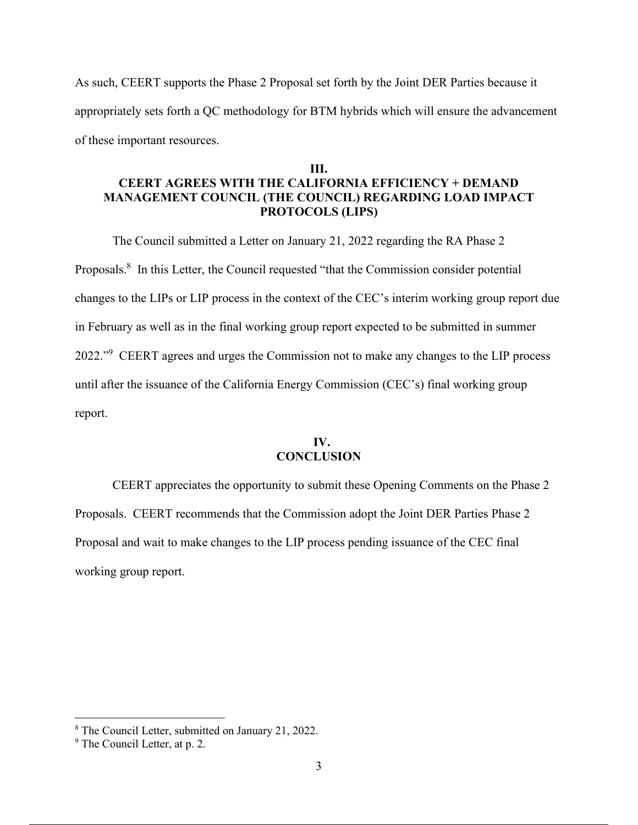As such, CEERT supports the Phase 2 Proposal set forth by the Joint DER Parties because it appropriately sets forth a QC methodology for BTM hybrids which will ensure the advancement of these important resources.

# **III. CEERT AGREES WITH THE CALIFORNIA EFFICIENCY + DEMAND MANAGEMENT COUNCIL (THE COUNCIL) REGARDING LOAD IMPACT PROTOCOLS (LIPS)**

The Council submitted a Letter on January 21, 2022 regarding the RA Phase 2 Proposals.<sup>8</sup> In this Letter, the Council requested "that the Commission consider potential changes to the LIPs or LIP process in the context of the CEC's interim working group report due in February as well as in the final working group report expected to be submitted in summer 2022."<sup>9</sup> CEERT agrees and urges the Commission not to make any changes to the LIP process until after the issuance of the California Energy Commission (CEC's) final working group report.

## **IV. CONCLUSION**

CEERT appreciates the opportunity to submit these Opening Comments on the Phase 2 Proposals. CEERT recommends that the Commission adopt the Joint DER Parties Phase 2 Proposal and wait to make changes to the LIP process pending issuance of the CEC final working group report.

<sup>8</sup> The Council Letter, submitted on January 21, 2022.

<sup>&</sup>lt;sup>9</sup> The Council Letter, at p. 2.